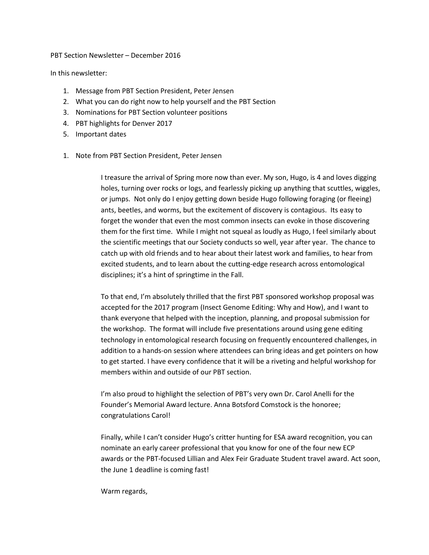PBT Section Newsletter – December 2016

In this newsletter:

- 1. Message from PBT Section President, Peter Jensen
- 2. What you can do right now to help yourself and the PBT Section
- 3. Nominations for PBT Section volunteer positions
- 4. PBT highlights for Denver 2017
- 5. Important dates
- 1. Note from PBT Section President, Peter Jensen

I treasure the arrival of Spring more now than ever. My son, Hugo, is 4 and loves digging holes, turning over rocks or logs, and fearlessly picking up anything that scuttles, wiggles, or jumps. Not only do I enjoy getting down beside Hugo following foraging (or fleeing) ants, beetles, and worms, but the excitement of discovery is contagious. Its easy to forget the wonder that even the most common insects can evoke in those discovering them for the first time. While I might not squeal as loudly as Hugo, I feel similarly about the scientific meetings that our Society conducts so well, year after year. The chance to catch up with old friends and to hear about their latest work and families, to hear from excited students, and to learn about the cutting-edge research across entomological disciplines; it's a hint of springtime in the Fall.

To that end, I'm absolutely thrilled that the first PBT sponsored workshop proposal was accepted for the 2017 program (Insect Genome Editing: Why and How), and I want to thank everyone that helped with the inception, planning, and proposal submission for the workshop. The format will include five presentations around using gene editing technology in entomological research focusing on frequently encountered challenges, in addition to a hands-on session where attendees can bring ideas and get pointers on how to get started. I have every confidence that it will be a riveting and helpful workshop for members within and outside of our PBT section.

I'm also proud to highlight the selection of PBT's very own Dr. Carol Anelli for the Founder's Memorial Award lecture. Anna Botsford Comstock is the honoree; congratulations Carol!

Finally, while I can't consider Hugo's critter hunting for ESA award recognition, you can nominate an early career professional that you know for one of the four new ECP awards or the PBT-focused Lillian and Alex Feir Graduate Student travel award. Act soon, the June 1 deadline is coming fast!

Warm regards,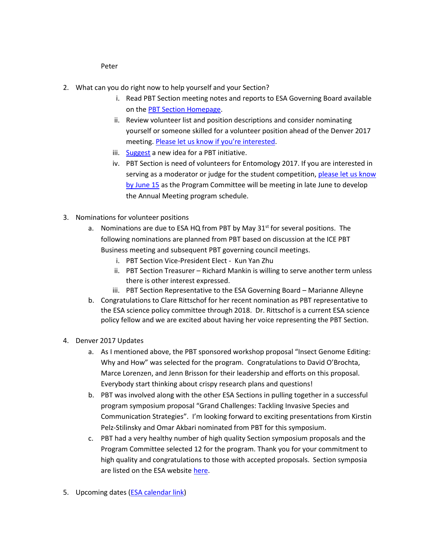Peter

- 2. What can you do right now to help yourself and your Section?
	- i. Read PBT Section meeting notes and reports to ESA Governing Board available on th[e PBT Section Homepage.](http://www.entsoc.org/governance/other/sections/pbt)
	- ii. Review volunteer list and position descriptions and consider nominating yourself or someone skilled for a volunteer position ahead of the Denver 2017 meeting. [Please let us know if you're inte](http://www.entsoc.org/pbt/contact-pbt-section-leaders)rested.
	- iii. [Suggest](http://www.entsoc.org/pbt/contact-pbt-section-leaders) a new idea for a PBT initiative.
	- iv. PBT Section is need of volunteers for Entomology 2017. If you are interested in serving as a moderator or judge for the student competition, [please let us know](http://www.entsoc.org/pbt/contact-pbt-section-leaders)  [by June 15](http://www.entsoc.org/pbt/contact-pbt-section-leaders) as the Program Committee will be meeting in late June to develop the Annual Meeting program schedule.
- 3. Nominations for volunteer positions
	- a. Nominations are due to ESA HQ from PBT by May  $31<sup>st</sup>$  for several positions. The following nominations are planned from PBT based on discussion at the ICE PBT Business meeting and subsequent PBT governing council meetings.
		- i. PBT Section Vice-President Elect Kun Yan Zhu
		- ii. PBT Section Treasurer Richard Mankin is willing to serve another term unless there is other interest expressed.
		- iii. PBT Section Representative to the ESA Governing Board Marianne Alleyne
	- b. Congratulations to Clare Rittschof for her recent nomination as PBT representative to the ESA science policy committee through 2018. Dr. Rittschof is a current ESA science policy fellow and we are excited about having her voice representing the PBT Section.
- 4. Denver 2017 Updates
	- a. As I mentioned above, the PBT sponsored workshop proposal "Insect Genome Editing: Why and How" was selected for the program. Congratulations to David O'Brochta, Marce Lorenzen, and Jenn Brisson for their leadership and efforts on this proposal. Everybody start thinking about crispy research plans and questions!
	- b. PBT was involved along with the other ESA Sections in pulling together in a successful program symposium proposal "Grand Challenges: Tackling Invasive Species and Communication Strategies". I'm looking forward to exciting presentations from Kirstin Pelz-Stilinsky and Omar Akbari nominated from PBT for this symposium.
	- c. PBT had a very healthy number of high quality Section symposium proposals and the Program Committee selected 12 for the program. Thank you for your commitment to high quality and congratulations to those with accepted proposals. Section symposia are listed on the ESA website [here.](http://www.entsoc.org/entomology-2017-symposia-and-sessions#Section)
- 5. Upcoming dates (**ESA calendar link**)